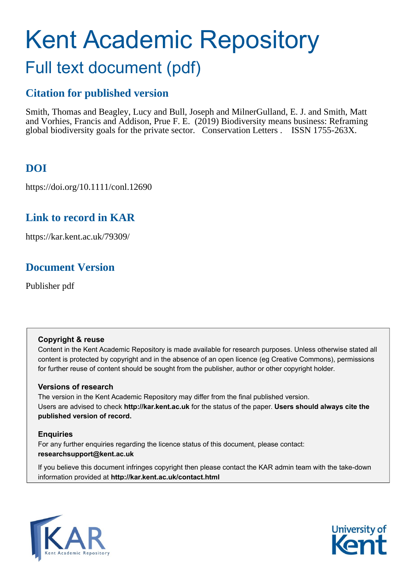# Kent Academic Repository Full text document (pdf)

## **Citation for published version**

Smith, Thomas and Beagley, Lucy and Bull, Joseph and Milner Gulland, E. J. and Smith, Matt and Vorhies, Francis and Addison, Prue F. E. (2019) Biodiversity means business: Reframing global biodiversity goals for the private sector. Conservation Letters . ISSN 1755-263X.

# **DOI**

https://doi.org/10.1111/conl.12690

# **Link to record in KAR**

https://kar.kent.ac.uk/79309/

# **Document Version**

Publisher pdf

## **Copyright & reuse**

Content in the Kent Academic Repository is made available for research purposes. Unless otherwise stated all content is protected by copyright and in the absence of an open licence (eg Creative Commons), permissions for further reuse of content should be sought from the publisher, author or other copyright holder.

## **Versions of research**

The version in the Kent Academic Repository may differ from the final published version. Users are advised to check **http://kar.kent.ac.uk** for the status of the paper. **Users should always cite the published version of record.**

## **Enquiries**

For any further enquiries regarding the licence status of this document, please contact: **researchsupport@kent.ac.uk**

If you believe this document infringes copyright then please contact the KAR admin team with the take-down information provided at **http://kar.kent.ac.uk/contact.html**



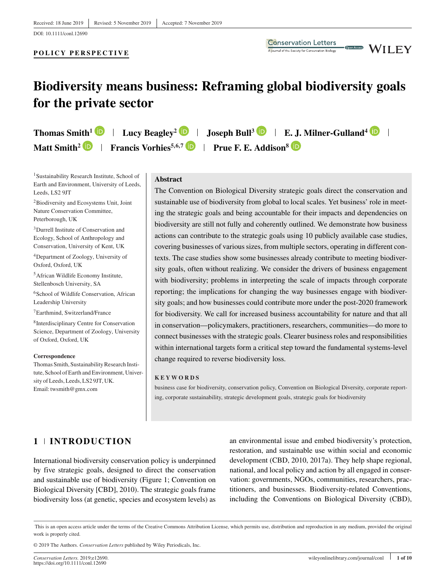#### **POLICY PERSPECTIVE**

# **Biodiversity means business: Reframing global biodiversity goals for the private sector**

**Thomas Smith<sup>1</sup> <b>D** | Lucy Beagley<sup>2</sup> **D** | Joseph Bull<sup>3</sup> **D** | E. J. Milner-Gulland<sup>4</sup> **D** | **Matt Smith<sup>2</sup> <b>P** Francis Vorhies<sup>5,6,7</sup> **P** Prue F. E. Addison<sup>8</sup> **P** 

<sup>1</sup>Sustainability Research Institute, School of Earth and Environment, University of Leeds, Leeds, LS2 9JT

2Biodiversity and Ecosystems Unit, Joint Nature Conservation Committee, Peterborough, UK

3Durrell Institute of Conservation and Ecology, School of Anthropology and Conservation, University of Kent, UK

4Department of Zoology, University of Oxford, Oxford, UK

5African Wildlife Economy Institute, Stellenbosch University, SA

<sup>6</sup>School of Wildlife Conservation, African Leadership University

7Earthmind, Switzerland/France

8Interdisciplinary Centre for Conservation Science, Department of Zoology, University of Oxford, Oxford, UK

**Correspondence** Thomas Smith, Sustainability Research Institute, School of Earth and Environment, University of Leeds, Leeds, LS2 9JT, UK. Email: twsmith@gmx.com

#### **Abstract**

The Convention on Biological Diversity strategic goals direct the conservation and sustainable use of biodiversity from global to local scales. Yet business' role in meeting the strategic goals and being accountable for their impacts and dependencies on biodiversity are still not fully and coherently outlined. We demonstrate how business actions can contribute to the strategic goals using 10 publicly available case studies, covering businesses of various sizes, from multiple sectors, operating in different contexts. The case studies show some businesses already contribute to meeting biodiversity goals, often without realizing. We consider the drivers of business engagement with biodiversity; problems in interpreting the scale of impacts through corporate reporting; the implications for changing the way businesses engage with biodiversity goals; and how businesses could contribute more under the post-2020 framework for biodiversity. We call for increased business accountability for nature and that all in conservation—policymakers, practitioners, researchers, communities—do more to connect businesses with the strategic goals. Clearer business roles and responsibilities within international targets form a critical step toward the fundamental systems-level change required to reverse biodiversity loss.

**Conservation Letters** 

A journal of the Society for Conservation Biology

**WILEY** 

Open Access

#### **KEYWORDS**

business case for biodiversity, conservation policy, Convention on Biological Diversity, corporate reporting, corporate sustainability, strategic development goals, strategic goals for biodiversity

## **1 INTRODUCTION**

International biodiversity conservation policy is underpinned by five strategic goals, designed to direct the conservation and sustainable use of biodiversity (Figure 1; Convention on Biological Diversity [CBD], 2010). The strategic goals frame biodiversity loss (at genetic, species and ecosystem levels) as

an environmental issue and embed biodiversity's protection, restoration, and sustainable use within social and economic development (CBD, 2010, 2017a). They help shape regional, national, and local policy and action by all engaged in conservation: governments, NGOs, communities, researchers, practitioners, and businesses. Biodiversity-related Conventions, including the Conventions on Biological Diversity (CBD),

© 2019 The Authors. *Conservation Letters* published by Wiley Periodicals, Inc.

This is an open access article under the terms of the [Creative Commons Attribution](http://creativecommons.org/licenses/by/4.0/) License, which permits use, distribution and reproduction in any medium, provided the original work is properly cited.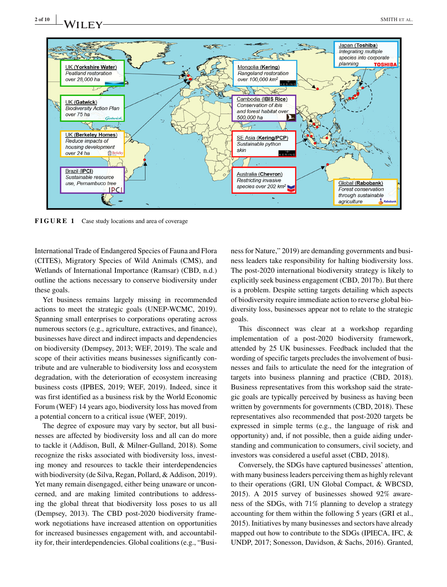

**FIGURE 1** Case study locations and area of coverage

International Trade of Endangered Species of Fauna and Flora (CITES), Migratory Species of Wild Animals (CMS), and Wetlands of International Importance (Ramsar) (CBD, n.d.) outline the actions necessary to conserve biodiversity under these goals.

Yet business remains largely missing in recommended actions to meet the strategic goals (UNEP-WCMC, 2019). Spanning small enterprises to corporations operating across numerous sectors (e.g., agriculture, extractives, and finance), businesses have direct and indirect impacts and dependencies on biodiversity (Dempsey, 2013; WEF, 2019). The scale and scope of their activities means businesses significantly contribute and are vulnerable to biodiversity loss and ecosystem degradation, with the deterioration of ecosystem increasing business costs (IPBES, 2019; WEF, 2019). Indeed, since it was first identified as a business risk by the World Economic Forum (WEF) 14 years ago, biodiversity loss has moved from a potential concern to a critical issue (WEF, 2019).

The degree of exposure may vary by sector, but all businesses are affected by biodiversity loss and all can do more to tackle it (Addison, Bull, & Milner-Gulland, 2018). Some recognize the risks associated with biodiversity loss, investing money and resources to tackle their interdependencies with biodiversity (de Silva, Regan, Pollard, & Addison, 2019). Yet many remain disengaged, either being unaware or unconcerned, and are making limited contributions to addressing the global threat that biodiversity loss poses to us all (Dempsey, 2013). The CBD post-2020 biodiversity framework negotiations have increased attention on opportunities for increased businesses engagement with, and accountability for, their interdependencies. Global coalitions (e.g., "Busi-

ness for Nature," 2019) are demanding governments and business leaders take responsibility for halting biodiversity loss. The post-2020 international biodiversity strategy is likely to explicitly seek business engagement (CBD, 2017b). But there is a problem. Despite setting targets detailing which aspects of biodiversity require immediate action to reverse global biodiversity loss, businesses appear not to relate to the strategic goals.

This disconnect was clear at a workshop regarding implementation of a post-2020 biodiversity framework, attended by 25 UK businesses. Feedback included that the wording of specific targets precludes the involvement of businesses and fails to articulate the need for the integration of targets into business planning and practice (CBD, 2018). Business representatives from this workshop said the strategic goals are typically perceived by business as having been written by governments for governments (CBD, 2018). These representatives also recommended that post-2020 targets be expressed in simple terms (e.g., the language of risk and opportunity) and, if not possible, then a guide aiding understanding and communication to consumers, civil society, and investors was considered a useful asset (CBD, 2018).

Conversely, the SDGs have captured businesses' attention, with many business leaders perceiving them as highly relevant to their operations (GRI, UN Global Compact, & WBCSD, 2015). A 2015 survey of businesses showed 92% awareness of the SDGs, with 71% planning to develop a strategy accounting for them within the following 5 years (GRI et al., 2015). Initiatives by many businesses and sectors have already mapped out how to contribute to the SDGs (IPIECA, IFC, & UNDP, 2017; Sonesson, Davidson, & Sachs, 2016). Granted,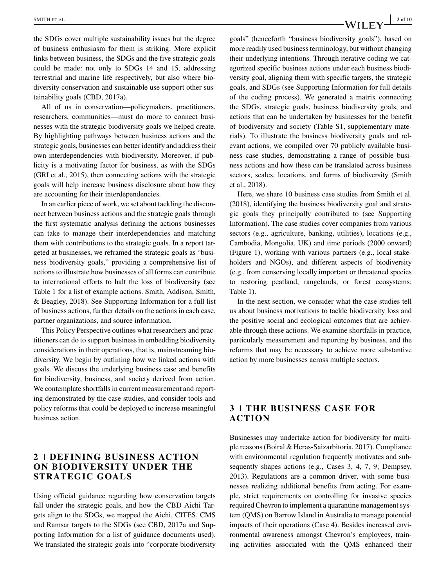the SDGs cover multiple sustainability issues but the degree of business enthusiasm for them is striking. More explicit links between business, the SDGs and the five strategic goals could be made: not only to SDGs 14 and 15, addressing terrestrial and marine life respectively, but also where biodiversity conservation and sustainable use support other sustainability goals (CBD, 2017a).

All of us in conservation—policymakers, practitioners, researchers, communities—must do more to connect businesses with the strategic biodiversity goals we helped create. By highlighting pathways between business actions and the strategic goals, businesses can better identify and address their own interdependencies with biodiversity. Moreover, if publicity is a motivating factor for business, as with the SDGs (GRI et al., 2015), then connecting actions with the strategic goals will help increase business disclosure about how they are accounting for their interdependencies.

In an earlier piece of work, we set about tackling the disconnect between business actions and the strategic goals through the first systematic analysis defining the actions businesses can take to manage their interdependencies and matching them with contributions to the strategic goals. In a report targeted at businesses, we reframed the strategic goals as "business biodiversity goals," providing a comprehensive list of actions to illustrate how businesses of all forms can contribute to international efforts to halt the loss of biodiversity (see Table 1 for a list of example actions. Smith, Addison, Smith, & Beagley, 2018). See Supporting Information for a full list of business actions, further details on the actions in each case, partner organizations, and source information.

This Policy Perspective outlines what researchers and practitioners can do to support business in embedding biodiversity considerations in their operations, that is, mainstreaming biodiversity. We begin by outlining how we linked actions with goals. We discuss the underlying business case and benefits for biodiversity, business, and society derived from action. We contemplate shortfalls in current measurement and reporting demonstrated by the case studies, and consider tools and policy reforms that could be deployed to increase meaningful business action.

## **2 DEFINING BUSINESS ACTION ON BIODIVERSITY UNDER THE STRATEGIC GOALS**

Using official guidance regarding how conservation targets fall under the strategic goals, and how the CBD Aichi Targets align to the SDGs, we mapped the Aichi, CITES, CMS and Ramsar targets to the SDGs (see CBD, 2017a and Supporting Information for a list of guidance documents used). We translated the strategic goals into "corporate biodiversity goals" (henceforth "business biodiversity goals"), based on more readily used business terminology, but without changing their underlying intentions. Through iterative coding we categorized specific business actions under each business biodiversity goal, aligning them with specific targets, the strategic goals, and SDGs (see Supporting Information for full details of the coding process). We generated a matrix connecting the SDGs, strategic goals, business biodiversity goals, and actions that can be undertaken by businesses for the benefit of biodiversity and society (Table S1, supplementary materials). To illustrate the business biodiversity goals and rel-

evant actions, we compiled over 70 publicly available business case studies, demonstrating a range of possible business actions and how these can be translated across business sectors, scales, locations, and forms of biodiversity (Smith et al., 2018).

Here, we share 10 business case studies from Smith et al. (2018), identifying the business biodiversity goal and strategic goals they principally contributed to (see Supporting Information). The case studies cover companies from various sectors (e.g., agriculture, banking, utilities), locations (e.g., Cambodia, Mongolia, UK) and time periods (2000 onward) (Figure 1), working with various partners (e.g., local stakeholders and NGOs), and different aspects of biodiversity (e.g., from conserving locally important or threatened species to restoring peatland, rangelands, or forest ecosystems; Table 1).

In the next section, we consider what the case studies tell us about business motivations to tackle biodiversity loss and the positive social and ecological outcomes that are achievable through these actions. We examine shortfalls in practice, particularly measurement and reporting by business, and the reforms that may be necessary to achieve more substantive action by more businesses across multiple sectors.

### **3 THE BUSINESS CASE FOR ACTION**

Businesses may undertake action for biodiversity for multiple reasons (Boiral & Heras-Saizarbitoria, 2017). Compliance with environmental regulation frequently motivates and subsequently shapes actions (e.g., Cases 3, 4, 7, 9; Dempsey, 2013). Regulations are a common driver, with some businesses realizing additional benefits from acting. For example, strict requirements on controlling for invasive species required Chevron to implement a quarantine management system (QMS) on Barrow Island in Australia to manage potential impacts of their operations (Case 4). Besides increased environmental awareness amongst Chevron's employees, training activities associated with the QMS enhanced their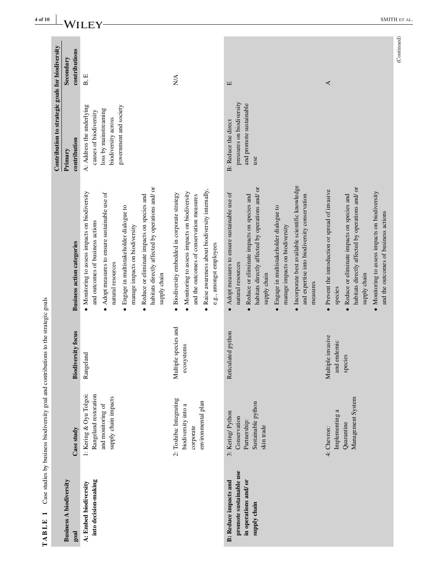|                                                                                                  |                                                                                               |                                                  |                                                                                                                                                                                                                                                                                                                                                                                              | Contribution to strategic goals for biodiversity                                                                              |                            |
|--------------------------------------------------------------------------------------------------|-----------------------------------------------------------------------------------------------|--------------------------------------------------|----------------------------------------------------------------------------------------------------------------------------------------------------------------------------------------------------------------------------------------------------------------------------------------------------------------------------------------------------------------------------------------------|-------------------------------------------------------------------------------------------------------------------------------|----------------------------|
| <b>Business A biodiversity</b><br>goal                                                           | Case study                                                                                    | <b>Biodiversity focus</b>                        | <b>Business action categories</b>                                                                                                                                                                                                                                                                                                                                                            | contribution<br>Primary                                                                                                       | contributions<br>Secondary |
| into decision-making<br>A: Embed biodiversity                                                    | 1: Kering & Oyu Tolgoi:<br>Rangeland restoration<br>supply chain impacts<br>and monitoring of | Rangeland                                        | habitats directly affected by operations and/ or<br>• Monitoring to assess impacts on biodiversity<br>• Adopt measures to ensure sustainable use of<br>Reduce or eliminate impacts on species and<br>Engage in multistakeholder dialogue to<br>and outcomes of business actions<br>manage impacts on biodiversity<br>natural resources<br>supply chain                                       | A: Address the underlying<br>government and society<br>loss by mainstreaming<br>causes of biodiversity<br>biodiversity across | B, E                       |
|                                                                                                  | 2: Toshiba: Integrating<br>environmental plan<br>biodiversity into a<br>corporate             | Multiple species and<br>ecosystems               | Raise awareness about biodiversity internally,<br>Monitoring to assess impacts on biodiversity<br>Biodiversity embedded in corporate strategy<br>and the outcomes of conservation measures<br>e.g., amongst employees                                                                                                                                                                        |                                                                                                                               | NA                         |
| promote sustainable use<br>in operations and/ or<br><b>B:</b> Reduce impacts and<br>supply chain | Sustainable python<br>3: Kering/Python<br>Conservation<br>Partnership:<br>skin trade          | Reticulated python                               | · Incorporate best available scientific knowledge<br>habitats directly affected by operations and/ or<br>Adopt measures to ensure sustainable use of<br>Reduce or eliminate impacts on species and<br>and expertise into biodiversity conservation<br>Engage in multistakeholder dialogue to<br>manage impacts on biodiversity<br>natural resources<br>supply chain<br>measures<br>$\bullet$ | pressures on biodiversity<br>and promote sustainable<br><b>B:</b> Reduce the direct<br>use                                    | Е                          |
|                                                                                                  | Management System<br>Implementing a<br>Quarantine<br>4: Chevron:                              | Multiple invasive<br>and endemic<br>ies<br>speci | habitats directly affected by operations and/ or<br>• Prevent the introduction or spread of invasive<br>Monitoring to assess impacts on biodiversity<br>• Reduce or eliminate impacts on species and<br>and the outcomes of business actions<br>supply chain<br>species                                                                                                                      |                                                                                                                               | ∢                          |

TABLE 1 Case studies by business biodiversity goal and contributions to the strategic goals **TABLE 1** Case studies by business biodiversity goal and contributions to the strategic goals

 $(Continued)$ (Continued)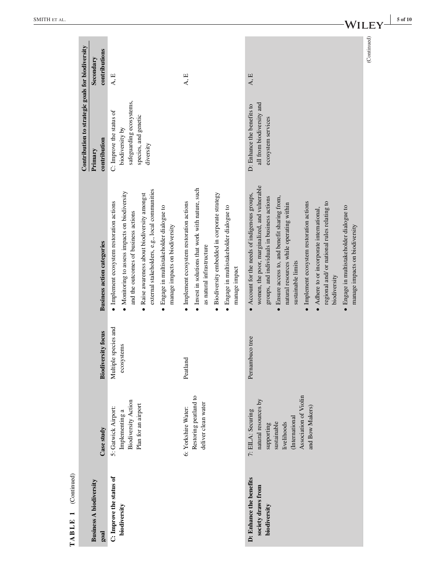| (Continued)<br>TABLE 1                                        |                                                                                                                                                     |                                    |                                                                                                                                                                                                                                                                                                                                                                                                                                                                                                               | Contribution to strategic goals for biodiversity                                                             |                            |
|---------------------------------------------------------------|-----------------------------------------------------------------------------------------------------------------------------------------------------|------------------------------------|---------------------------------------------------------------------------------------------------------------------------------------------------------------------------------------------------------------------------------------------------------------------------------------------------------------------------------------------------------------------------------------------------------------------------------------------------------------------------------------------------------------|--------------------------------------------------------------------------------------------------------------|----------------------------|
| <b>Business A biodiversity</b><br>goal                        | Case study                                                                                                                                          | <b>Biodiversity focus</b>          | <b>Business action categories</b>                                                                                                                                                                                                                                                                                                                                                                                                                                                                             | contribution<br>Primary                                                                                      | contributions<br>Secondary |
| C: Improve the status of<br>biodiversity                      | <b>Biodiversity Action</b><br>Plan for an airport<br>5: Gatwick Airport:<br>Implementing a                                                          | Multiple species and<br>ecosystems | external stakeholders, e.g., local communities<br>Monitoring to assess impacts on biodiversity<br>Raise awareness about biodiversity amongst<br>· Implement ecosystem restoration actions<br>· Engage in multistakeholder dialogue to<br>and the outcomes of business actions<br>manage impacts on biodiversity                                                                                                                                                                                               | safeguarding ecosystems,<br>C: Improve the status of<br>species, and genetic<br>biodiversity by<br>diversity | A, E                       |
|                                                               | Restoring peatland to<br>deliver clean water<br>6: Yorkshire Water:                                                                                 | Peatland                           | • Invest in solutions that work with nature, such<br>Biodiversity embedded in corporate strategy<br>· Implement ecosystem restoration actions<br>· Engage in multistakeholder dialogue to<br>as natural infrastructure<br>manage impact                                                                                                                                                                                                                                                                       |                                                                                                              | $\mathbf{A}, \mathbf{E}$   |
| D: Enhance the benefits<br>society draws from<br>biodiversity | Association of Violin<br>natural resources by<br>and Bow Makers)<br>7: EILA: Securing<br>(International<br>sustainable<br>livelihoods<br>supporting | Pernambuco tree                    | women, the poor, marginalized, and vulnerable<br>$\bullet$ Account for the needs of indigenous groups,<br>· Ensure access to, and benefit sharing from,<br>groups, and individuals in business actions<br>· Implement ecosystem restoration actions<br>regional and/ or national rules relating to<br>natural resources while operating within<br>· Engage in multistakeholder dialogue to<br>Adhere to or incorporate international,<br>manage impacts on biodiversity<br>sustainable limits<br>biodiversity | all from biodiversity and<br>D: Enhance the benefits to<br>ecosystem services                                | $\mathbf{A}, \mathbf{E}$   |
|                                                               |                                                                                                                                                     |                                    |                                                                                                                                                                                                                                                                                                                                                                                                                                                                                                               |                                                                                                              | (Continued)                |

SMITH ET AL

 $-WILEY$ <sup> $\frac{1 - 5 \text{ of } 10}{2}$ </sup>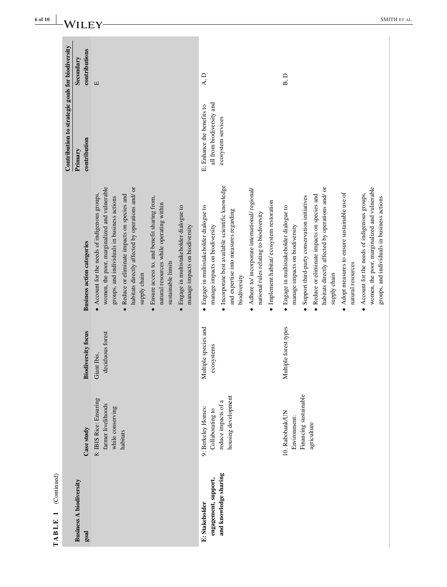| Contribution to strategic goals for biodiversity | contributions<br>Secondary<br>contribution<br>Primary | $\Xi$                                                                                                                                                                                                                                                                                                                                                                                                                                                                    | $\mathbf{A},\mathbf{D}$<br>B, D<br>all from biodiversity and<br>E: Enhance the benefits to<br>ecosystem services                                                                                                                                                                                                                                                                                                                                                       |                                                                                                                                                                                                                                                                                                                                  |
|--------------------------------------------------|-------------------------------------------------------|--------------------------------------------------------------------------------------------------------------------------------------------------------------------------------------------------------------------------------------------------------------------------------------------------------------------------------------------------------------------------------------------------------------------------------------------------------------------------|------------------------------------------------------------------------------------------------------------------------------------------------------------------------------------------------------------------------------------------------------------------------------------------------------------------------------------------------------------------------------------------------------------------------------------------------------------------------|----------------------------------------------------------------------------------------------------------------------------------------------------------------------------------------------------------------------------------------------------------------------------------------------------------------------------------|
|                                                  | <b>Business action categories</b>                     | women, the poor, marginalized and vulnerable<br>habitats directly affected by operations and/ or<br>• Account for the needs of indigenous groups,<br>Reduce or eliminate impacts on species and<br>Ensure access to, and benefit sharing from,<br>groups, and individuals in business actions<br>natural resources while operating within<br>Engage in multistakeholder dialogue to<br>manage impacts on biodiversity<br>sustainable limits<br>supply chain<br>$\bullet$ | Incorporate best available scientific knowledge<br>Adhere to/ incorporate international/ regional/<br>Support third-party conservation initiatives<br>Implement habitat/ecosystem restoration<br>Engage in multistakeholder dialogue to<br>Engage in multistakeholder dialogue to<br>and expertise into measures regarding<br>national rules relating to biodiversity<br>manage impacts on biodiversity<br>manage impacts on biodiversity<br>biodiversity<br>$\bullet$ | women, the poor, marginalized and vulnerable<br>habitats directly affected by operations and/ or<br>Adopt measures to ensure sustainable use of<br>Account for the needs of indigenous groups,<br>Reduce or eliminate impacts on species and<br>groups, and individuals in business actions<br>natural resources<br>supply chain |
|                                                  | <b>Biodiversity focus</b>                             | deciduous forest<br>Giant Ibis,                                                                                                                                                                                                                                                                                                                                                                                                                                          | Multiple species and<br>Multiple forest types<br>ecosystems                                                                                                                                                                                                                                                                                                                                                                                                            |                                                                                                                                                                                                                                                                                                                                  |
|                                                  | Case study                                            | 8: IBIS Rice: Ensuring<br>farmer livelihoods<br>while conserving<br>habitats                                                                                                                                                                                                                                                                                                                                                                                             | Financing sustainable<br>housing development<br>reduce impacts of a<br>9: Berkeley Homes:<br>Collaborating to<br>10. Rabobank/UN<br>Environment:                                                                                                                                                                                                                                                                                                                       | agriculture                                                                                                                                                                                                                                                                                                                      |
| (Continued)<br>TABLE <sub>1</sub>                | <b>Business A biodiversity</b><br>goal                |                                                                                                                                                                                                                                                                                                                                                                                                                                                                          | and knowledge sharing<br>engagement, support,<br>E: Stakeholder                                                                                                                                                                                                                                                                                                                                                                                                        |                                                                                                                                                                                                                                                                                                                                  |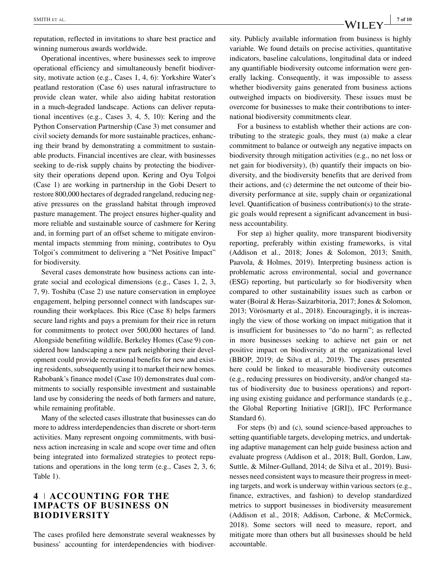reputation, reflected in invitations to share best practice and winning numerous awards worldwide.

Operational incentives, where businesses seek to improve operational efficiency and simultaneously benefit biodiversity, motivate action (e.g., Cases 1, 4, 6): Yorkshire Water's peatland restoration (Case 6) uses natural infrastructure to provide clean water, while also aiding habitat restoration in a much-degraded landscape. Actions can deliver reputational incentives (e.g., Cases 3, 4, 5, 10): Kering and the Python Conservation Partnership (Case 3) met consumer and civil society demands for more sustainable practices, enhancing their brand by demonstrating a commitment to sustainable products. Financial incentives are clear, with businesses seeking to de-risk supply chains by protecting the biodiversity their operations depend upon. Kering and Oyu Tolgoi (Case 1) are working in partnership in the Gobi Desert to restore 800,000 hectares of degraded rangeland, reducing negative pressures on the grassland habitat through improved pasture management. The project ensures higher-quality and more reliable and sustainable source of cashmere for Kering and, in forming part of an offset scheme to mitigate environmental impacts stemming from mining, contributes to Oyu Tolgoi's commitment to delivering a "Net Positive Impact" for biodiversity.

Several cases demonstrate how business actions can integrate social and ecological dimensions (e.g., Cases 1, 2, 3, 7, 9). Toshiba (Case 2) use nature conservation in employee engagement, helping personnel connect with landscapes surrounding their workplaces. Ibis Rice (Case 8) helps farmers secure land rights and pays a premium for their rice in return for commitments to protect over 500,000 hectares of land. Alongside benefiting wildlife, Berkeley Homes (Case 9) considered how landscaping a new park neighboring their development could provide recreational benefits for new and existing residents, subsequently using it to market their new homes. Rabobank's finance model (Case 10) demonstrates dual commitments to socially responsible investment and sustainable land use by considering the needs of both farmers and nature, while remaining profitable.

Many of the selected cases illustrate that businesses can do more to address interdependencies than discrete or short-term activities. Many represent ongoing commitments, with business action increasing in scale and scope over time and often being integrated into formalized strategies to protect reputations and operations in the long term (e.g., Cases 2, 3, 6; Table 1).

### **4 ACCOUNTING FOR THE IMPACTS OF BUSINESS ON BIODIVERSITY**

The cases profiled here demonstrate several weaknesses by business' accounting for interdependencies with biodiversity. Publicly available information from business is highly variable. We found details on precise activities, quantitative indicators, baseline calculations, longitudinal data or indeed any quantifiable biodiversity outcome information were generally lacking. Consequently, it was impossible to assess whether biodiversity gains generated from business actions outweighed impacts on biodiversity. These issues must be overcome for businesses to make their contributions to international biodiversity commitments clear.

For a business to establish whether their actions are contributing to the strategic goals, they must (a) make a clear commitment to balance or outweigh any negative impacts on biodiversity through mitigation activities (e.g., no net loss or net gain for biodiversity), (b) quantify their impacts on biodiversity, and the biodiversity benefits that are derived from their actions, and (c) determine the net outcome of their biodiversity performance at site, supply chain or organizational level. Quantification of business contribution(s) to the strategic goals would represent a significant advancement in business accountability.

For step a) higher quality, more transparent biodiversity reporting, preferably within existing frameworks, is vital (Addison et al., 2018; Jones & Solomon, 2013; Smith, Paavola, & Holmes, 2019). Interpreting business action is problematic across environmental, social and governance (ESG) reporting, but particularly so for biodiversity when compared to other sustainability issues such as carbon or water (Boiral & Heras-Saizarbitoria, 2017; Jones & Solomon, 2013; Vörösmarty et al., 2018). Encouragingly, it is increasingly the view of those working on impact mitigation that it is insufficient for businesses to "do no harm"; as reflected in more businesses seeking to achieve net gain or net positive impact on biodiversity at the organizational level (BBOP, 2019; de Silva et al., 2019). The cases presented here could be linked to measurable biodiversity outcomes (e.g., reducing pressures on biodiversity, and/or changed status of biodiversity due to business operations) and reporting using existing guidance and performance standards (e.g., the Global Reporting Initiative [GRI]), IFC Performance Standard 6).

For steps (b) and (c), sound science-based approaches to setting quantifiable targets, developing metrics, and undertaking adaptive management can help guide business action and evaluate progress (Addison et al., 2018; Bull, Gordon, Law, Suttle, & Milner-Gulland, 2014; de Silva et al., 2019). Businesses need consistent ways to measure their progress in meeting targets, and work is underway within various sectors (e.g., finance, extractives, and fashion) to develop standardized metrics to support businesses in biodiversity measurement (Addison et al., 2018; Addison, Carbone, & McCormick, 2018). Some sectors will need to measure, report, and mitigate more than others but all businesses should be held accountable.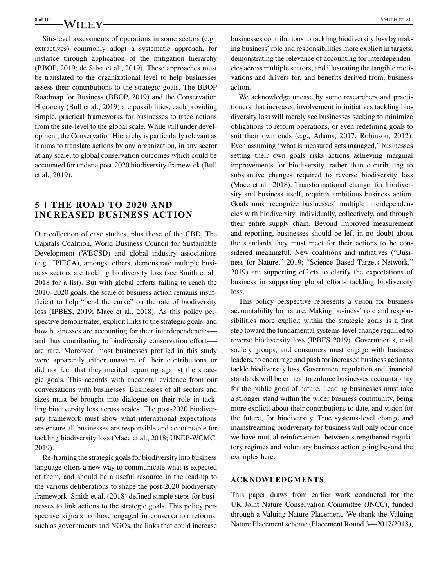Site-level assessments of operations in some sectors (e.g., extractives) commonly adopt a systematic approach, for instance through application of the mitigation hierarchy (BBOP, 2019; de Silva et al., 2019). These approaches must be translated to the organizational level to help businesses assess their contributions to the strategic goals. The BBOP Roadmap for Business (BBOP, 2019) and the Conservation Hierarchy (Bull et al., 2019) are possibilities, each providing simple, practical frameworks for businesses to trace actions from the site-level to the global scale. While still under development, the Conservation Hierarchy is particularly relevant as it aims to translate actions by any organization, in any sector at any scale, to global conservation outcomes which could be accounted for under a post-2020 biodiversity framework (Bull et al., 2019).

#### **5 THE ROAD TO 2020 AND INCREASED BUSINESS ACTION**

Our collection of case studies, plus those of the CBD, The Capitals Coalition, World Business Council for Sustainable Development (WBCSD) and global industry associations (e.g., IPIECA), amongst others, demonstrate multiple business sectors are tackling biodiversity loss (see Smith et al., 2018 for a list). But with global efforts failing to reach the 2010–2020 goals, the scale of business action remains insufficient to help "bend the curve" on the rate of biodiversity loss (IPBES, 2019; Mace et al., 2018). As this policy perspective demonstrates, explicit links to the strategic goals, and how businesses are accounting for their interdependencies and thus contributing to biodiversity conservation efforts are rare. Moreover, most businesses profiled in this study were apparently either unaware of their contributions or did not feel that they merited reporting against the strategic goals. This accords with anecdotal evidence from our conversations with businesses. Businesses of all sectors and sizes must be brought into dialogue on their role in tackling biodiversity loss across scales. The post-2020 biodiversity framework must show what international expectations are ensure all businesses are responsible and accountable for tackling biodiversity loss (Mace et al., 2018; UNEP-WCMC, 2019).

Re-framing the strategic goals for biodiversity into business language offers a new way to communicate what is expected of them, and should be a useful resource in the lead-up to the various deliberations to shape the post-2020 biodiversity framework. Smith et al. (2018) defined simple steps for businesses to link actions to the strategic goals. This policy perspective signals to those engaged in conservation reforms, such as governments and NGOs, the links that could increase businesses contributions to tackling biodiversity loss by making business' role and responsibilities more explicit in targets; demonstrating the relevance of accounting for interdependencies across multiple sectors; and illustrating the tangible motivations and drivers for, and benefits derived from, business action.

We acknowledge unease by some researchers and practitioners that increased involvement in initiatives tackling biodiversity loss will merely see businesses seeking to minimize obligations to reform operations, or even redefining goals to suit their own ends (e.g., Adams, 2017; Robinson, 2012). Even assuming "what is measured gets managed," businesses setting their own goals risks actions achieving marginal improvements for biodiversity, rather than contributing to substantive changes required to reverse biodiversity loss (Mace et al., 2018). Transformational change, for biodiversity and business itself, requires ambitious business action. Goals must recognize businesses' multiple interdependencies with biodiversity, individually, collectively, and through their entire supply chain. Beyond improved measurement and reporting, businesses should be left in no doubt about the standards they must meet for their actions to be considered meaningful. New coalitions and initiatives ("Business for Nature," 2019; "Science Based Targets Network," 2019) are supporting efforts to clarify the expectations of business in supporting global efforts tackling biodiversity loss.

This policy perspective represents a vision for business accountability for nature. Making business' role and responsibilities more explicit within the strategic goals is a first step toward the fundamental systems-level change required to reverse biodiversity loss (IPBES 2019). Governments, civil society groups, and consumers must engage with business leaders, to encourage and push for increased business action to tackle biodiversity loss. Government regulation and financial standards will be critical to enforce businesses accountability for the public good of nature. Leading businesses must take a stronger stand within the wider business community, being more explicit about their contributions to date, and vision for the future, for biodiversity. True systems-level change and mainstreaming biodiversity for business will only occur once we have mutual reinforcement between strengthened regulatory regimes and voluntary business action going beyond the examples here.

#### **ACKNOWLEDGMENTS**

This paper draws from earlier work conducted for the UK Joint Nature Conservation Committee (JNCC), funded through a Valuing Nature Placement. We thank the Valuing Nature Placement scheme (Placement Round 3—2017/2018),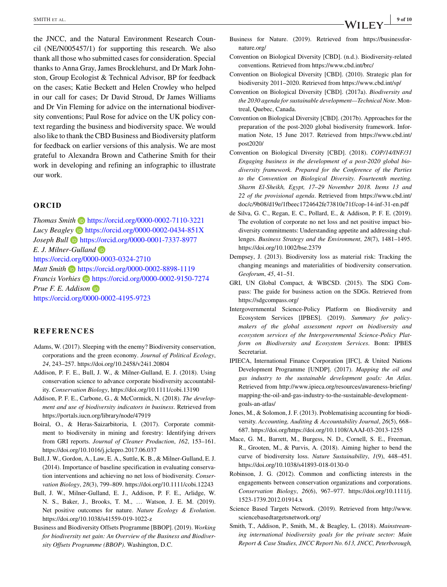the JNCC, and the Natural Environment Research Council (NE/N005457/1) for supporting this research. We also thank all those who submitted cases for consideration. Special thanks to Anna Gray, James Brocklehurst, and Dr Mark Johnston, Group Ecologist & Technical Advisor, BP for feedback on the cases; Katie Beckett and Helen Crowley who helped in our call for cases; Dr David Stroud, Dr James Williams and Dr Vin Fleming for advice on the international biodiversity conventions; Paul Rose for advice on the UK policy context regarding the business and biodiversity space. We would also like to thank the CBD Business and Biodiversity platform for feedback on earlier versions of this analysis. We are most grateful to Alexandra Brown and Catherine Smith for their work in developing and refining an infographic to illustrate our work.

#### **ORCID**

*Thomas Smith* <https://orcid.org/0000-0002-7110-3221> *Lucy Beagley* **i** <https://orcid.org/0000-0002-0434-851X> *Joseph Bull* <https://orcid.org/0000-0001-7337-8977> *E. J. Milner-Gulland* <https://orcid.org/0000-0003-0324-2710> *Matt Smith* **b** <https://orcid.org/0000-0002-8898-1119> *Francis Vorhies* **b** <https://orcid.org/0000-0002-9150-7274> *Prue F. E. Addison* <https://orcid.org/0000-0002-4195-9723>

#### **REFERENCES**

- Adams, W. (2017). Sleeping with the enemy? Biodiversity conservation, corporations and the green economy. *Journal of Political Ecology*, *24*, 243–257.<https://doi.org/10.2458/v24i1.20804>
- Addison, P. F. E., Bull, J. W., & Milner-Gulland, E. J. (2018). Using conservation science to advance corporate biodiversity accountability. *Conservation Biology*,<https://doi.org/10.1111/cobi.13190>
- Addison, P. F. E., Carbone, G., & McCormick, N. (2018). *The development and use of biodiversity indicators in business*. Retrieved from <https://portals.iucn.org/library/node/47919>
- Boiral, O., & Heras-Saizarbitoria, I. (2017). Corporate commitment to biodiversity in mining and forestry: Identifying drivers from GRI reports. *Journal of Cleaner Production*, *162*, 153–161. <https://doi.org/10.1016/j.jclepro.2017.06.037>
- Bull, J. W., Gordon, A., Law, E. A., Suttle, K. B., & Milner-Gulland, E. J. (2014). Importance of baseline specification in evaluating conservation interventions and achieving no net loss of biodiversity. *Conservation Biology*, *28*(3), 799–809.<https://doi.org/10.1111/cobi.12243>
- Bull, J. W., Milner-Gulland, E. J., Addison, P. F. E., Arlidge, W. N. S., Baker, J., Brooks, T. M., … Watson, J. E. M. (2019). Net positive outcomes for nature. *Nature Ecology & Evolution*. <https://doi.org/10.1038/s41559-019-1022-z>
- Business and Biodiversity Offsets Programme [BBOP]. (2019). *Working for biodiversity net gain: An Overview of the Business and Biodiversity Offsets Programme (BBOP)*. Washington, D.C.
- Business for Nature. (2019). Retrieved from [https://businessfor](https://businessfornature.org/)[nature.org/](https://businessfornature.org/)
- Convention on Biological Diversity [CBD]. (n.d.). Biodiversity-related conventions. Retrieved from<https://www.cbd.int/brc/>
- Convention on Biological Diversity [CBD]. (2010). Strategic plan for biodiversity 2011–2020. Retrieved from<https://www.cbd.int/sp/>
- Convention on Biological Diversity [CBD]. (2017a). *Biodiversity and the 2030 agenda for sustainable development—Technical Note*. Montreal, Quebec, Canada.
- Convention on Biological Diversity [CBD]. (2017b). Approaches for the preparation of the post-2020 global biodiversity framework. Information Note, 15 June 2017. Retrieved from [https://www.cbd.int/](https://www.cbd.int/post2020/) [post2020/](https://www.cbd.int/post2020/)
- Convention on Biological Diversity [CBD]. (2018). *COP/14/INF/31 Engaging business in the development of a post-2020 global biodiversity framework. Prepared for the Conference of the Parties to the Convention on Biological Diversity. Fourteenth meeting. Sharm El-Sheikh, Egypt, 17–29 November 2018. Items 13 and 22 of the provisional agenda*. Retrieved from [https://www.cbd.int/](https://www.cbd.int/doc/c/9b08/d19e/1fbeec1724642fe73810e71f/cop-14-inf-31-en.pdf) [doc/c/9b08/d19e/1fbeec1724642fe73810e71f/cop-14-inf-31-en.pdf](https://www.cbd.int/doc/c/9b08/d19e/1fbeec1724642fe73810e71f/cop-14-inf-31-en.pdf)
- de Silva, G. C., Regan, E. C., Pollard, E., & Addison, P. F. E. (2019). The evolution of corporate no net loss and net positive impact biodiversity commitments: Understanding appetite and addressing challenges. *Business Strategy and the Environment*, *28*(7), 1481–1495. <https://doi.org/10.1002/bse.2379>
- Dempsey, J. (2013). Biodiversity loss as material risk: Tracking the changing meanings and materialities of biodiversity conservation. *Geoforum*, *45*, 41–51.
- GRI, UN Global Compact, & WBCSD. (2015). The SDG Compass: The guide for business action on the SDGs. Retrieved from <https://sdgcompass.org/>
- Intergovernmental Science-Policy Platform on Biodiversity and Ecosystem Services [IPBES]. (2019). *Summary for policymakers of the global assessment report on biodiversity and ecosystem services of the Intergovernmental Science-Policy Platform on Biodiversity and Ecosystem Services*. Bonn: IPBES Secretariat.
- IPIECA, International Finance Corporation [IFC], & United Nations Development Programme [UNDP]. (2017). *Mapping the oil and gas industry to the sustainable development goals: An Atlas*. Retrieved from [http://www.ipieca.org/resources/awareness-briefing/](http://www.ipieca.org/resources/awareness-briefing/mapping-the-oil-and-gas-industry-to-the-sustainable-development-goals-an-atlas/) [mapping-the-oil-and-gas-industry-to-the-sustainable-development](http://www.ipieca.org/resources/awareness-briefing/mapping-the-oil-and-gas-industry-to-the-sustainable-development-goals-an-atlas/)[goals-an-atlas/](http://www.ipieca.org/resources/awareness-briefing/mapping-the-oil-and-gas-industry-to-the-sustainable-development-goals-an-atlas/)
- Jones, M., & Solomon, J. F. (2013). Problematising accounting for biodiversity. *Accounting, Auditing & Accountability Journal*, *26*(5), 668– 687.<https://doi.org/https://doi.org/10.1108/AAAJ-03-2013-1255>
- Mace, G. M., Barrett, M., Burgess, N. D., Cornell, S. E., Freeman, R., Grooten, M., & Purvis, A. (2018). Aiming higher to bend the curve of biodiversity loss. *Nature Sustainability*, *1*(9), 448–451. <https://doi.org/10.1038/s41893-018-0130-0>
- Robinson, J. G. (2012). Common and conflicting interests in the engagements between conservation organizations and corporations. *Conservation Biology*, *26*(6), 967–977. [https://doi.org/10.1111/j.](https://doi.org/10.1111/j.1523-1739.2012.01914.x) [1523-1739.2012.01914.x](https://doi.org/10.1111/j.1523-1739.2012.01914.x)
- Science Based Targets Network. (2019). Retrieved from [http://www.](http://www.sciencebasedtargetsnetwork.org/) [sciencebasedtargetsnetwork.org/](http://www.sciencebasedtargetsnetwork.org/)
- Smith, T., Addison, P., Smith, M., & Beagley, L. (2018). *Mainstreaming international biodiversity goals for the private sector: Main Report & Case Studies, JNCC Report No. 613, JNCC, Peterborough,*